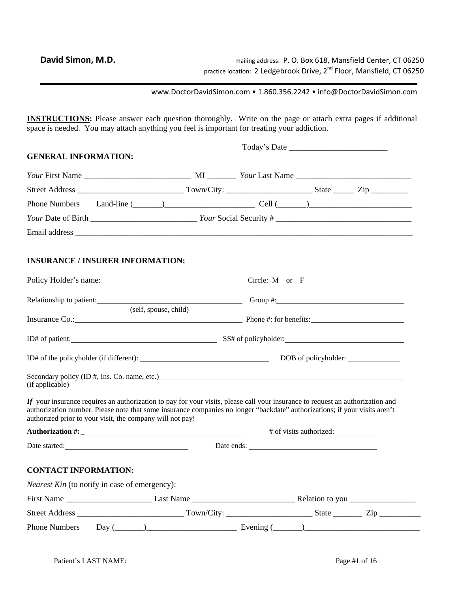www.DoctorDavidSimon.com • 1.860.356.2242 • info@DoctorDavidSimon.com

**INSTRUCTIONS:** Please answer each question thoroughly. Write on the page or attach extra pages if additional space is needed. You may attach anything you feel is important for treating your addiction.

| <b>GENERAL INFORMATION:</b>                                                                                                                                                                                                                                                                                               |                       |            |                         |  |
|---------------------------------------------------------------------------------------------------------------------------------------------------------------------------------------------------------------------------------------------------------------------------------------------------------------------------|-----------------------|------------|-------------------------|--|
|                                                                                                                                                                                                                                                                                                                           |                       |            |                         |  |
|                                                                                                                                                                                                                                                                                                                           |                       |            |                         |  |
|                                                                                                                                                                                                                                                                                                                           |                       |            |                         |  |
|                                                                                                                                                                                                                                                                                                                           |                       |            |                         |  |
|                                                                                                                                                                                                                                                                                                                           |                       |            |                         |  |
| <b>INSURANCE / INSURER INFORMATION:</b>                                                                                                                                                                                                                                                                                   |                       |            |                         |  |
| Policy Holder's name: Circle: M or F                                                                                                                                                                                                                                                                                      |                       |            |                         |  |
| Relationship to patient: Change and Changes and Changes are the Changes of Croup #:                                                                                                                                                                                                                                       |                       |            |                         |  |
| Insurance Co.: Phone #: for benefits:                                                                                                                                                                                                                                                                                     | (self, spouse, child) |            |                         |  |
|                                                                                                                                                                                                                                                                                                                           |                       |            |                         |  |
|                                                                                                                                                                                                                                                                                                                           |                       |            |                         |  |
| Secondary policy (ID #, Ins. Co. name, etc.) example and the secondary policy (ID #, Ins. Co. name, etc.)<br>(if applicable)                                                                                                                                                                                              |                       |            |                         |  |
| If your insurance requires an authorization to pay for your visits, please call your insurance to request an authorization and<br>authorization number. Please note that some insurance companies no longer "backdate" authorizations; if your visits aren't<br>authorized prior to your visit, the company will not pay! |                       |            |                         |  |
|                                                                                                                                                                                                                                                                                                                           |                       |            | # of visits authorized: |  |
|                                                                                                                                                                                                                                                                                                                           |                       | Date ends: |                         |  |
| <b>CONTACT INFORMATION:</b>                                                                                                                                                                                                                                                                                               |                       |            |                         |  |
| <i>Nearest Kin</i> (to notify in case of emergency):                                                                                                                                                                                                                                                                      |                       |            |                         |  |
|                                                                                                                                                                                                                                                                                                                           |                       |            |                         |  |
|                                                                                                                                                                                                                                                                                                                           |                       |            |                         |  |
| Phone Numbers Day $(\_\_)$ $\_\_$ Evening $(\_\_)$                                                                                                                                                                                                                                                                        |                       |            |                         |  |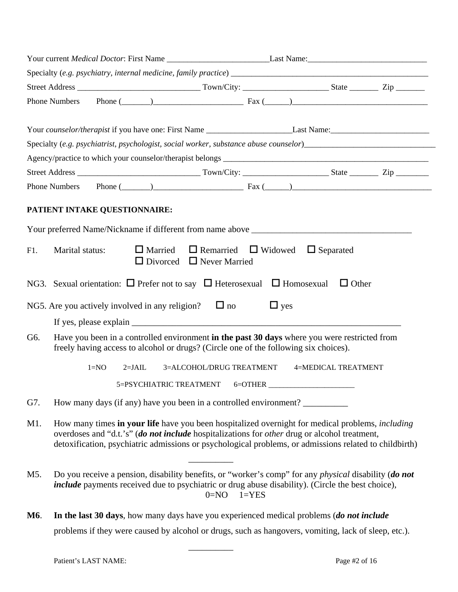|            | Your current <i>Medical Doctor</i> : First Name Last Name: Last Name:                                                                                                                                                                                                                                             |                                                        |                          |            |                                                                                                                                                                                                                                                                     |  |  |  |
|------------|-------------------------------------------------------------------------------------------------------------------------------------------------------------------------------------------------------------------------------------------------------------------------------------------------------------------|--------------------------------------------------------|--------------------------|------------|---------------------------------------------------------------------------------------------------------------------------------------------------------------------------------------------------------------------------------------------------------------------|--|--|--|
|            |                                                                                                                                                                                                                                                                                                                   |                                                        |                          |            |                                                                                                                                                                                                                                                                     |  |  |  |
|            |                                                                                                                                                                                                                                                                                                                   |                                                        |                          |            |                                                                                                                                                                                                                                                                     |  |  |  |
|            | <b>Phone Numbers</b>                                                                                                                                                                                                                                                                                              |                                                        |                          |            | Phone $(\_\_)$ $\_\_$ Fax $(\_\_)$                                                                                                                                                                                                                                  |  |  |  |
|            |                                                                                                                                                                                                                                                                                                                   |                                                        |                          |            |                                                                                                                                                                                                                                                                     |  |  |  |
|            |                                                                                                                                                                                                                                                                                                                   |                                                        |                          |            |                                                                                                                                                                                                                                                                     |  |  |  |
|            | Specialty (e.g. psychiatrist, psychologist, social worker, substance abuse counselor)_________________________                                                                                                                                                                                                    |                                                        |                          |            |                                                                                                                                                                                                                                                                     |  |  |  |
|            |                                                                                                                                                                                                                                                                                                                   |                                                        |                          |            |                                                                                                                                                                                                                                                                     |  |  |  |
|            |                                                                                                                                                                                                                                                                                                                   |                                                        |                          |            |                                                                                                                                                                                                                                                                     |  |  |  |
|            | <b>Phone Numbers</b>                                                                                                                                                                                                                                                                                              |                                                        |                          |            | Phone $(\_\_)$ $\_\_$ $\_\_$ $\_\_$ $\_\_$ $\_\_$ $\_\_$ $\_\_$ $\_\_$ $\_\_$ $\_\_$ $\_\_$ $\_\_$ $\_\_$ $\_\_$ $\_\_$ $\_\_$ $\_\_$ $\_\_$ $\_\_$ $\_\_$ $\_\_$ $\_\_$ $\_\_$ $\_\_$ $\_\_$ $\_\_$ $\_\_$ $\_\_$ $\_\_$ $\_\_$ $\_\_$ $\_\_$ $\_\_$ $\_\_$ $\_\_$ |  |  |  |
|            | PATIENT INTAKE QUESTIONNAIRE:                                                                                                                                                                                                                                                                                     |                                                        |                          |            |                                                                                                                                                                                                                                                                     |  |  |  |
|            | Your preferred Name/Nickname if different from name above                                                                                                                                                                                                                                                         |                                                        |                          |            |                                                                                                                                                                                                                                                                     |  |  |  |
| F1.        | Marital status:                                                                                                                                                                                                                                                                                                   | $\Box$ Married<br>$\Box$ Divorced $\Box$ Never Married |                          |            | $\Box$ Remarried $\Box$ Widowed $\Box$ Separated                                                                                                                                                                                                                    |  |  |  |
|            | NG3. Sexual orientation: $\Box$ Prefer not to say $\Box$ Heterosexual $\Box$ Homosexual $\Box$ Other                                                                                                                                                                                                              |                                                        |                          |            |                                                                                                                                                                                                                                                                     |  |  |  |
|            | NG5. Are you actively involved in any religion? $\Box$ no                                                                                                                                                                                                                                                         |                                                        |                          | $\Box$ yes |                                                                                                                                                                                                                                                                     |  |  |  |
|            |                                                                                                                                                                                                                                                                                                                   |                                                        |                          |            |                                                                                                                                                                                                                                                                     |  |  |  |
| G6.        | Have you been in a controlled environment in the past 30 days where you were restricted from<br>freely having access to alcohol or drugs? (Circle one of the following six choices).                                                                                                                              |                                                        |                          |            |                                                                                                                                                                                                                                                                     |  |  |  |
|            | $1 = NO$                                                                                                                                                                                                                                                                                                          | $2=JAIL$                                               | 3=ALCOHOL/DRUG TREATMENT |            | 4=MEDICAL TREATMENT                                                                                                                                                                                                                                                 |  |  |  |
|            |                                                                                                                                                                                                                                                                                                                   | 5=PSYCHIATRIC TREATMENT                                |                          |            | $6 =$ OTHER                                                                                                                                                                                                                                                         |  |  |  |
| G7.        | How many days (if any) have you been in a controlled environment?                                                                                                                                                                                                                                                 |                                                        |                          |            |                                                                                                                                                                                                                                                                     |  |  |  |
| M1.        | How many times in your life have you been hospitalized overnight for medical problems, <i>including</i><br>overdoses and "d.t.'s" (do not include hospitalizations for other drug or alcohol treatment,<br>detoxification, psychiatric admissions or psychological problems, or admissions related to childbirth) |                                                        |                          |            |                                                                                                                                                                                                                                                                     |  |  |  |
| M5.        | Do you receive a pension, disability benefits, or "worker's comp" for any <i>physical</i> disability ( <i>do not</i><br>include payments received due to psychiatric or drug abuse disability). (Circle the best choice),<br>$0=NO$<br>$1 = YES$                                                                  |                                                        |                          |            |                                                                                                                                                                                                                                                                     |  |  |  |
| <b>M6.</b> | In the last 30 days, how many days have you experienced medical problems (do not include                                                                                                                                                                                                                          |                                                        |                          |            |                                                                                                                                                                                                                                                                     |  |  |  |

problems if they were caused by alcohol or drugs, such as hangovers, vomiting, lack of sleep, etc.).

 $\mathcal{L}_\text{max}$  and  $\mathcal{L}_\text{max}$  and  $\mathcal{L}_\text{max}$  and  $\mathcal{L}_\text{max}$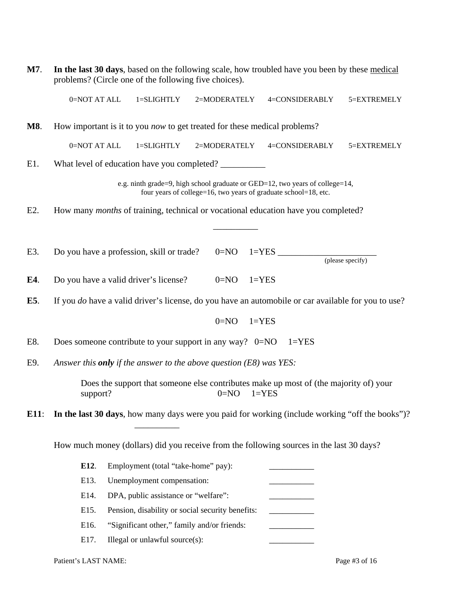| M7.  | In the last 30 days, based on the following scale, how troubled have you been by these medical<br>problems? (Circle one of the following five choices). |  |  |  |  |  |
|------|---------------------------------------------------------------------------------------------------------------------------------------------------------|--|--|--|--|--|
|      | 0=NOT AT ALL<br>1=SLIGHTLY<br>2=MODERATELY<br>4=CONSIDERABLY<br>5=EXTREMELY                                                                             |  |  |  |  |  |
| M8.  | How important is it to you <i>now</i> to get treated for these medical problems?                                                                        |  |  |  |  |  |
|      | 0=NOT AT ALL<br>1=SLIGHTLY<br>2=MODERATELY<br>4=CONSIDERABLY<br>5=EXTREMELY                                                                             |  |  |  |  |  |
| E1.  | What level of education have you completed?                                                                                                             |  |  |  |  |  |
|      | e.g. ninth grade=9, high school graduate or GED=12, two years of college=14,<br>four years of college=16, two years of graduate school=18, etc.         |  |  |  |  |  |
| E2.  | How many <i>months</i> of training, technical or vocational education have you completed?                                                               |  |  |  |  |  |
|      |                                                                                                                                                         |  |  |  |  |  |
| E3.  | Do you have a profession, skill or trade?                                                                                                               |  |  |  |  |  |
|      | (please specify)                                                                                                                                        |  |  |  |  |  |
| E4.  | Do you have a valid driver's license?<br>$1 = YES$<br>$0=NO$                                                                                            |  |  |  |  |  |
| E5.  | If you <i>do</i> have a valid driver's license, do you have an automobile or car available for you to use?                                              |  |  |  |  |  |
|      | $0=NO$<br>$1 = YES$                                                                                                                                     |  |  |  |  |  |
| E8.  | Does someone contribute to your support in any way? $0=NO$<br>$1 = YES$                                                                                 |  |  |  |  |  |
| E9.  | Answer this <b>only</b> if the answer to the above question $(E8)$ was $YES:$                                                                           |  |  |  |  |  |
|      | Does the support that someone else contributes make up most of (the majority of) your<br>$0 = NO$<br>$1 = YES$<br>support?                              |  |  |  |  |  |
| E11: | In the last 30 days, how many days were you paid for working (include working "off the books")?                                                         |  |  |  |  |  |
|      | How much money (dollars) did you receive from the following sources in the last 30 days?                                                                |  |  |  |  |  |
|      | E12.<br>Employment (total "take-home" pay):                                                                                                             |  |  |  |  |  |
|      | E13.<br>Unemployment compensation:                                                                                                                      |  |  |  |  |  |
|      | E14.<br>DPA, public assistance or "welfare":                                                                                                            |  |  |  |  |  |
|      | E15.<br>Pension, disability or social security benefits:                                                                                                |  |  |  |  |  |
|      | E16.<br>"Significant other," family and/or friends:                                                                                                     |  |  |  |  |  |
|      | E17.<br>Illegal or unlawful source(s):                                                                                                                  |  |  |  |  |  |

Patient's LAST NAME: Page #3 of 16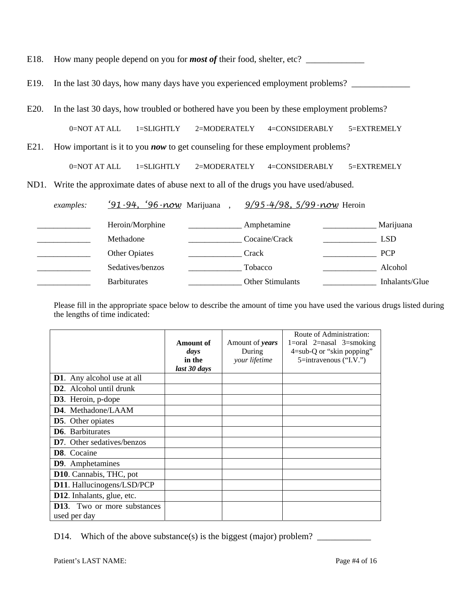|  |  | E18. How many people depend on you for <i>most of</i> their food, shelter, etc? |  |
|--|--|---------------------------------------------------------------------------------|--|
|--|--|---------------------------------------------------------------------------------|--|

E19. In the last 30 days, how many days have you experienced employment problems? \_\_\_\_\_\_\_\_\_\_\_\_\_\_\_\_\_\_\_\_\_\_\_\_\_\_\_\_

E20. In the last 30 days, how troubled or bothered have you been by these employment problems?

0=NOT AT ALL 1=SLIGHTLY 2=MODERATELY 4=CONSIDERABLY 5=EXTREMELY

E21. How important is it to you *now* to get counseling for these employment problems?

| 0=NOT AT ALL | $1 = SLIGHTLY$ | $2=$ MODERATELY | 4=CONSIDERABLY | $5 = EXTREMELY$ |
|--------------|----------------|-----------------|----------------|-----------------|
|              |                |                 |                |                 |

ND1. Write the approximate dates of abuse next to all of the drugs you have used/abused.

| examples: | $'91 - 94$ , $'96 - now$ Marijuana | $9/95 - 4/98$ , $5/99 - now$ Heroin |                |
|-----------|------------------------------------|-------------------------------------|----------------|
|           | Heroin/Morphine                    | Amphetamine                         | Marijuana      |
|           | Methadone                          | Cocaine/Crack                       | <b>LSD</b>     |
|           | <b>Other Opiates</b>               | Crack                               | <b>PCP</b>     |
|           | Sedatives/benzos                   | Tobacco                             | Alcohol        |
|           | <b>Barbiturates</b>                | <b>Other Stimulants</b>             | Inhalants/Glue |

Please fill in the appropriate space below to describe the amount of time you have used the various drugs listed during the lengths of time indicated:

|                                      |              |                 | Route of Administration:            |
|--------------------------------------|--------------|-----------------|-------------------------------------|
|                                      | Amount of    | Amount of years | $1 = \text{oral}$ 2=nasal 3=smoking |
|                                      | days         | During          | $4 = sub-Q$ or "skin popping"       |
|                                      | in the       | your lifetime   | 5=intravenous ("I.V.")              |
|                                      | last 30 days |                 |                                     |
| <b>D1</b> . Any alcohol use at all   |              |                 |                                     |
| D <sub>2</sub> . Alcohol until drunk |              |                 |                                     |
| <b>D3.</b> Heroin, p-dope            |              |                 |                                     |
| D4. Methadone/LAAM                   |              |                 |                                     |
| <b>D5.</b> Other opiates             |              |                 |                                     |
| <b>D6.</b> Barbiturates              |              |                 |                                     |
| <b>D7.</b> Other sedatives/benzos    |              |                 |                                     |
| D8. Cocaine                          |              |                 |                                     |
| <b>D9.</b> Amphetamines              |              |                 |                                     |
| D10. Cannabis, THC, pot              |              |                 |                                     |
| D11. Hallucinogens/LSD/PCP           |              |                 |                                     |
| D12. Inhalants, glue, etc.           |              |                 |                                     |
| <b>D13.</b> Two or more substances   |              |                 |                                     |
| used per day                         |              |                 |                                     |

D14. Which of the above substance(s) is the biggest (major) problem?  $\frac{1}{\sqrt{1-\frac{1}{\sqrt{1-\frac{1}{\sqrt{1-\frac{1}{\sqrt{1-\frac{1}{\sqrt{1-\frac{1}{\sqrt{1-\frac{1}{\sqrt{1-\frac{1}{\sqrt{1-\frac{1}{\sqrt{1-\frac{1}{\sqrt{1-\frac{1}{\sqrt{1-\frac{1}{\sqrt{1-\frac{1}{\sqrt{1-\frac{1}{\sqrt{1-\frac{1}{\sqrt{1-\frac{1}{\sqrt{1-\frac{1}{\sqrt$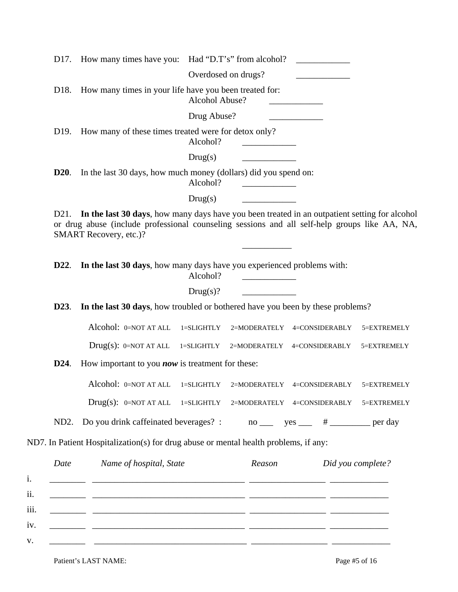|                   | D17. How many times have you: Had "D.T's" from alcohol?                                                                                                                                                                  |                |                                                                     | <u> 1989 - Jan Stein Stein Stein Stein Stein Stein Stein Stein Stein Stein Stein Stein Stein Stein Stein Stein S</u> |                   |
|-------------------|--------------------------------------------------------------------------------------------------------------------------------------------------------------------------------------------------------------------------|----------------|---------------------------------------------------------------------|----------------------------------------------------------------------------------------------------------------------|-------------------|
|                   |                                                                                                                                                                                                                          |                | Overdosed on drugs?                                                 | $\overline{\phantom{a}}$                                                                                             |                   |
| D <sub>18</sub> . | How many times in your life have you been treated for:                                                                                                                                                                   | Alcohol Abuse? |                                                                     |                                                                                                                      |                   |
|                   |                                                                                                                                                                                                                          | Drug Abuse?    |                                                                     |                                                                                                                      |                   |
| D <sub>19</sub> . | How many of these times treated were for detox only?                                                                                                                                                                     | Alcohol?       |                                                                     |                                                                                                                      |                   |
|                   |                                                                                                                                                                                                                          | Drug(s)        |                                                                     |                                                                                                                      |                   |
| <b>D20.</b>       | In the last 30 days, how much money (dollars) did you spend on:                                                                                                                                                          | Alcohol?       | $\overline{\phantom{a}}$ . The contract of $\overline{\phantom{a}}$ |                                                                                                                      |                   |
|                   |                                                                                                                                                                                                                          | Drug(s)        |                                                                     |                                                                                                                      |                   |
| D21.              | In the last 30 days, how many days have you been treated in an outpatient setting for alcohol<br>or drug abuse (include professional counseling sessions and all self-help groups like AA, NA,<br>SMART Recovery, etc.)? |                |                                                                     |                                                                                                                      |                   |
| D22.              | In the last 30 days, how many days have you experienced problems with:                                                                                                                                                   | Alcohol?       |                                                                     |                                                                                                                      |                   |
|                   |                                                                                                                                                                                                                          | Drug(s)?       |                                                                     |                                                                                                                      |                   |
| D23.              | In the last 30 days, how troubled or bothered have you been by these problems?                                                                                                                                           |                |                                                                     |                                                                                                                      |                   |
|                   | Alcohol: 0=NOT AT ALL                                                                                                                                                                                                    | $l = SLIGHTLY$ |                                                                     | 2=MODERATELY 4=CONSIDERABLY                                                                                          | 5=EXTREMELY       |
|                   | $Drug(s): 0=NOT AT ALL 1=SLIGHTLY$                                                                                                                                                                                       |                | 2=MODERATELY                                                        | 4=CONSIDERABLY                                                                                                       | 5=EXTREMELY       |
| <b>D24.</b>       | How important to you <b>now</b> is treatment for these:                                                                                                                                                                  |                |                                                                     |                                                                                                                      |                   |
|                   | Alcohol: 0=NOT AT ALL                                                                                                                                                                                                    | 1=SLIGHTLY     |                                                                     | 2=MODERATELY 4=CONSIDERABLY                                                                                          | 5=EXTREMELY       |
|                   | $Drug(s):$ 0=NOT AT ALL 1=SLIGHTLY 2=MODERATELY 4=CONSIDERABLY                                                                                                                                                           |                |                                                                     |                                                                                                                      | 5=EXTREMELY       |
|                   | ND2. Do you drink caffeinated beverages? : $\qquad \qquad$ no ______ yes ______ # __________ per day                                                                                                                     |                |                                                                     |                                                                                                                      |                   |
|                   | ND7. In Patient Hospitalization(s) for drug abuse or mental health problems, if any:                                                                                                                                     |                |                                                                     |                                                                                                                      |                   |
| Date              | Name of hospital, State                                                                                                                                                                                                  |                | Reason                                                              |                                                                                                                      | Did you complete? |
|                   | <u> 1986 - Januar Amerikaanse beheer van die volgens van die volgens van die volgens van die volgens van die volg</u>                                                                                                    |                |                                                                     |                                                                                                                      |                   |
|                   |                                                                                                                                                                                                                          |                |                                                                     |                                                                                                                      |                   |
|                   | <u> 1999 - 1999 - 1999 - 1999 - 1999 - 1999 - 1999 - 1999 - 1999 - 1999 - 1999 - 1999 - 1999 - 1999 - 1999 - 199</u>                                                                                                     |                |                                                                     |                                                                                                                      |                   |
|                   |                                                                                                                                                                                                                          |                |                                                                     |                                                                                                                      |                   |
|                   |                                                                                                                                                                                                                          |                |                                                                     |                                                                                                                      |                   |

Patient's LAST NAME:<br>
Page #5 of 16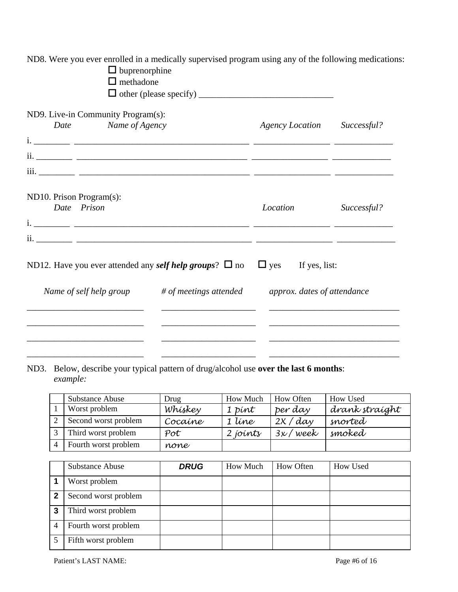| ND8. Were you ever enrolled in a medically supervised program using any of the following medications:<br>$\Box$ buprenorphine<br>$\Box$ methadone |                          |                             |             |
|---------------------------------------------------------------------------------------------------------------------------------------------------|--------------------------|-----------------------------|-------------|
| ND9. Live-in Community Program(s):<br>Name of Agency<br>Date                                                                                      |                          | <b>Agency Location</b>      | Successful? |
|                                                                                                                                                   |                          |                             |             |
| ND10. Prison Program(s):<br>Date Prison                                                                                                           |                          | Location                    | Successful? |
| ND12. Have you ever attended any <i>self help groups</i> ? $\Box$ no                                                                              |                          | $\Box$ yes If yes, list:    |             |
| Name of self help group                                                                                                                           | $#$ of meetings attended | approx. dates of attendance |             |
|                                                                                                                                                   |                          |                             |             |

## ND3. Below, describe your typical pattern of drug/alcohol use **over the last 6 months**: *example:*

| <b>Substance Abuse</b> | Drug        | How Much | How Often | How Used       |
|------------------------|-------------|----------|-----------|----------------|
| Worst problem          | Whiskey     | 1 pint   | per day   | drank straíght |
| Second worst problem   | Cocaine     | 1 líne   | 2x / day  | snorted        |
| Third worst problem    | $\n  Pot\n$ | 2 joints | 3x / week | smoked         |
| Fourth worst problem   | none        |          |           |                |

|   | <b>Substance Abuse</b> | <b>DRUG</b> | How Much | <b>How Often</b> | How Used |
|---|------------------------|-------------|----------|------------------|----------|
|   | Worst problem          |             |          |                  |          |
| 2 | Second worst problem   |             |          |                  |          |
| 3 | Third worst problem    |             |          |                  |          |
| 4 | Fourth worst problem   |             |          |                  |          |
|   | Fifth worst problem    |             |          |                  |          |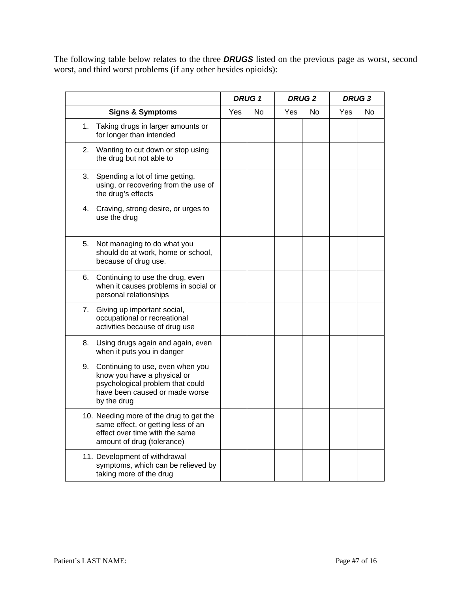The following table below relates to the three *DRUGS* listed on the previous page as worst, second worst, and third worst problems (if any other besides opioids):

|    |                                                                                                                                                      | <b>DRUG1</b> |    | <b>DRUG2</b> |    |     | <b>DRUG3</b> |
|----|------------------------------------------------------------------------------------------------------------------------------------------------------|--------------|----|--------------|----|-----|--------------|
|    | <b>Signs &amp; Symptoms</b>                                                                                                                          | Yes          | No | <b>Yes</b>   | No | Yes | No.          |
| 1. | Taking drugs in larger amounts or<br>for longer than intended                                                                                        |              |    |              |    |     |              |
| 2. | Wanting to cut down or stop using<br>the drug but not able to                                                                                        |              |    |              |    |     |              |
| 3. | Spending a lot of time getting,<br>using, or recovering from the use of<br>the drug's effects                                                        |              |    |              |    |     |              |
|    | 4. Craving, strong desire, or urges to<br>use the drug                                                                                               |              |    |              |    |     |              |
| 5. | Not managing to do what you<br>should do at work, home or school,<br>because of drug use.                                                            |              |    |              |    |     |              |
|    | 6. Continuing to use the drug, even<br>when it causes problems in social or<br>personal relationships                                                |              |    |              |    |     |              |
|    | 7. Giving up important social,<br>occupational or recreational<br>activities because of drug use                                                     |              |    |              |    |     |              |
| 8. | Using drugs again and again, even<br>when it puts you in danger                                                                                      |              |    |              |    |     |              |
| 9. | Continuing to use, even when you<br>know you have a physical or<br>psychological problem that could<br>have been caused or made worse<br>by the drug |              |    |              |    |     |              |
|    | 10. Needing more of the drug to get the<br>same effect, or getting less of an<br>effect over time with the same<br>amount of drug (tolerance)        |              |    |              |    |     |              |
|    | 11. Development of withdrawal<br>symptoms, which can be relieved by<br>taking more of the drug                                                       |              |    |              |    |     |              |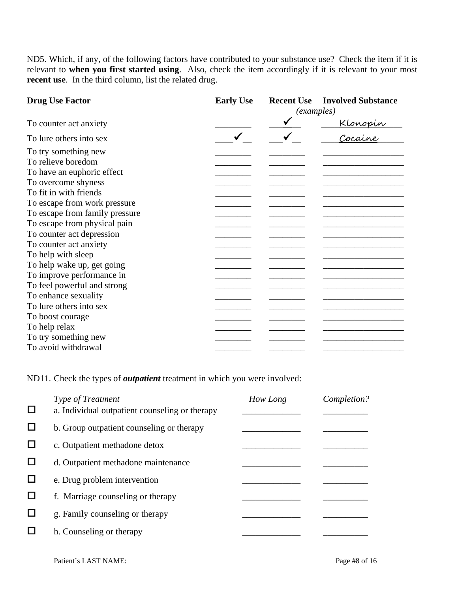ND5. Which, if any, of the following factors have contributed to your substance use? Check the item if it is relevant to **when you first started using**. Also, check the item accordingly if it is relevant to your most **recent use**. In the third column, list the related drug.

| <b>Drug Use Factor</b>         | <b>Early Use</b> | <b>Recent Use</b> | <b>Involved Substance</b>  |  |  |
|--------------------------------|------------------|-------------------|----------------------------|--|--|
|                                |                  |                   | <i>(examples)</i>          |  |  |
| To counter act anxiety         |                  |                   |                            |  |  |
| To lure others into sex        |                  |                   | <u>Klonopin</u><br>Cocaine |  |  |
| To try something new           |                  |                   |                            |  |  |
| To relieve boredom             |                  |                   |                            |  |  |
| To have an euphoric effect     |                  |                   |                            |  |  |
| To overcome shyness            |                  |                   |                            |  |  |
| To fit in with friends         |                  |                   |                            |  |  |
| To escape from work pressure   |                  |                   |                            |  |  |
| To escape from family pressure |                  |                   |                            |  |  |
| To escape from physical pain   |                  |                   |                            |  |  |
| To counter act depression      |                  |                   |                            |  |  |
| To counter act anxiety         |                  |                   |                            |  |  |
| To help with sleep             |                  |                   |                            |  |  |
| To help wake up, get going     |                  |                   |                            |  |  |
| To improve performance in      |                  |                   |                            |  |  |
| To feel powerful and strong    |                  |                   |                            |  |  |
| To enhance sexuality           |                  |                   |                            |  |  |
| To lure others into sex        |                  |                   |                            |  |  |
| To boost courage               |                  |                   |                            |  |  |
| To help relax                  |                  |                   |                            |  |  |
| To try something new           |                  |                   |                            |  |  |
| To avoid withdrawal            |                  |                   |                            |  |  |

ND11. Check the types of *outpatient* treatment in which you were involved:

| Type of Treatment                              | How Long | Completion? |
|------------------------------------------------|----------|-------------|
| a. Individual outpatient counseling or therapy |          |             |
| b. Group outpatient counseling or therapy      |          |             |
| c. Outpatient methadone detox                  |          |             |
| d. Outpatient methadone maintenance            |          |             |
| e. Drug problem intervention                   |          |             |
| f. Marriage counseling or therapy              |          |             |
| g. Family counseling or therapy                |          |             |
| h. Counseling or therapy                       |          |             |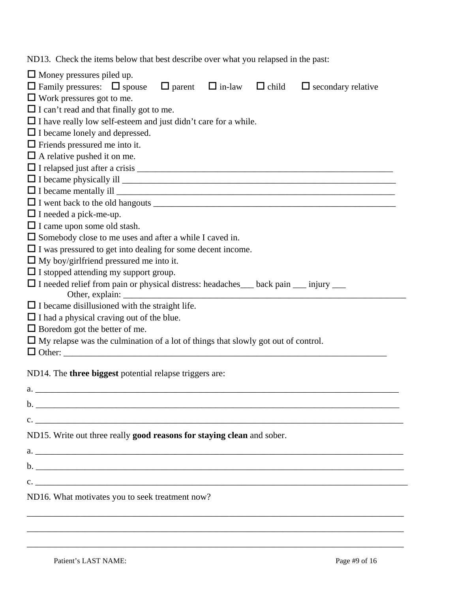ND13. Check the items below that best describe over what you relapsed in the past:

| $\Box$ Money pressures piled up.                                                                                                                                                                                                                                                                                                              |
|-----------------------------------------------------------------------------------------------------------------------------------------------------------------------------------------------------------------------------------------------------------------------------------------------------------------------------------------------|
| $\Box$ Family pressures: $\Box$ spouse $\Box$ parent $\Box$ in-law $\Box$ child<br>$\Box$ secondary relative                                                                                                                                                                                                                                  |
| $\Box$ Work pressures got to me.                                                                                                                                                                                                                                                                                                              |
| $\Box$ I can't read and that finally got to me.                                                                                                                                                                                                                                                                                               |
| $\Box$ I have really low self-esteem and just didn't care for a while.                                                                                                                                                                                                                                                                        |
| $\Box$ I became lonely and depressed.                                                                                                                                                                                                                                                                                                         |
| $\Box$ Friends pressured me into it.                                                                                                                                                                                                                                                                                                          |
| $\Box$ A relative pushed it on me.                                                                                                                                                                                                                                                                                                            |
|                                                                                                                                                                                                                                                                                                                                               |
|                                                                                                                                                                                                                                                                                                                                               |
| $\Box$ I became mentally ill $\Box$                                                                                                                                                                                                                                                                                                           |
| □ I went back to the old hangouts<br><u>□ I</u> went back to the old hangouts                                                                                                                                                                                                                                                                 |
| $\Box$ I needed a pick-me-up.                                                                                                                                                                                                                                                                                                                 |
| $\Box$ I came upon some old stash.                                                                                                                                                                                                                                                                                                            |
| $\Box$ Somebody close to me uses and after a while I caved in.                                                                                                                                                                                                                                                                                |
| $\Box$ I was pressured to get into dealing for some decent income.                                                                                                                                                                                                                                                                            |
| $\Box$ My boy/girlfriend pressured me into it.                                                                                                                                                                                                                                                                                                |
| $\Box$ I stopped attending my support group.                                                                                                                                                                                                                                                                                                  |
| □ I needed relief from pain or physical distress: headaches__ back pain __ injury __                                                                                                                                                                                                                                                          |
|                                                                                                                                                                                                                                                                                                                                               |
| $\Box$ I became disillusioned with the straight life.                                                                                                                                                                                                                                                                                         |
| $\Box$ I had a physical craving out of the blue.                                                                                                                                                                                                                                                                                              |
| $\Box$ Boredom got the better of me.                                                                                                                                                                                                                                                                                                          |
| $\Box$ My relapse was the culmination of a lot of things that slowly got out of control.                                                                                                                                                                                                                                                      |
|                                                                                                                                                                                                                                                                                                                                               |
| ND14. The <b>three biggest</b> potential relapse triggers are:                                                                                                                                                                                                                                                                                |
| a.                                                                                                                                                                                                                                                                                                                                            |
| $\mathbf{b}$ .                                                                                                                                                                                                                                                                                                                                |
|                                                                                                                                                                                                                                                                                                                                               |
| c. $\qquad \qquad$ $\qquad$ $\qquad$ $\qquad$ $\qquad$ $\qquad$ $\qquad$ $\qquad$ $\qquad$ $\qquad$ $\qquad$ $\qquad$ $\qquad$ $\qquad$ $\qquad$ $\qquad$ $\qquad$ $\qquad$ $\qquad$ $\qquad$ $\qquad$ $\qquad$ $\qquad$ $\qquad$ $\qquad$ $\qquad$ $\qquad$ $\qquad$ $\qquad$ $\qquad$ $\qquad$ $\qquad$ $\qquad$ $\qquad$ $\qquad$ $\qquad$ |
| ND15. Write out three really good reasons for staying clean and sober.                                                                                                                                                                                                                                                                        |
|                                                                                                                                                                                                                                                                                                                                               |
| <b>b.</b> The contract of the contract of the contract of the contract of the contract of the contract of the contract of the contract of the contract of the contract of the contract of the contract of the contract of the contr                                                                                                           |
| $c.$ $\overline{\phantom{a}}$                                                                                                                                                                                                                                                                                                                 |

\_\_\_\_\_\_\_\_\_\_\_\_\_\_\_\_\_\_\_\_\_\_\_\_\_\_\_\_\_\_\_\_\_\_\_\_\_\_\_\_\_\_\_\_\_\_\_\_\_\_\_\_\_\_\_\_\_\_\_\_\_\_\_\_\_\_\_\_\_\_\_\_\_\_\_\_\_\_\_\_\_\_\_\_

\_\_\_\_\_\_\_\_\_\_\_\_\_\_\_\_\_\_\_\_\_\_\_\_\_\_\_\_\_\_\_\_\_\_\_\_\_\_\_\_\_\_\_\_\_\_\_\_\_\_\_\_\_\_\_\_\_\_\_\_\_\_\_\_\_\_\_\_\_\_\_\_\_\_\_\_\_\_\_\_\_\_\_\_

\_\_\_\_\_\_\_\_\_\_\_\_\_\_\_\_\_\_\_\_\_\_\_\_\_\_\_\_\_\_\_\_\_\_\_\_\_\_\_\_\_\_\_\_\_\_\_\_\_\_\_\_\_\_\_\_\_\_\_\_\_\_\_\_\_\_\_\_\_\_\_\_\_\_\_\_\_\_\_\_\_\_\_\_

## ND16. What motivates you to seek treatment now?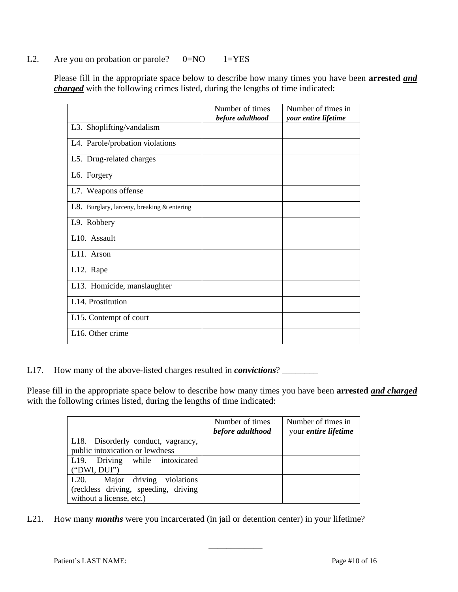## L2. Are you on probation or parole?  $0=NO$  1=YES

Please fill in the appropriate space below to describe how many times you have been **arrested** *and charged* with the following crimes listed, during the lengths of time indicated:

|                                            | Number of times  | Number of times in   |
|--------------------------------------------|------------------|----------------------|
|                                            | before adulthood | your entire lifetime |
| L3. Shoplifting/vandalism                  |                  |                      |
| L4. Parole/probation violations            |                  |                      |
| L5. Drug-related charges                   |                  |                      |
| L6. Forgery                                |                  |                      |
| L7. Weapons offense                        |                  |                      |
| L8. Burglary, larceny, breaking & entering |                  |                      |
| L9. Robbery                                |                  |                      |
| L10. Assault                               |                  |                      |
| L <sub>11</sub> . Arson                    |                  |                      |
| L <sub>12</sub> . Rape                     |                  |                      |
| L13. Homicide, manslaughter                |                  |                      |
| L14. Prostitution                          |                  |                      |
| L15. Contempt of court                     |                  |                      |
| L <sub>16</sub> . Other crime              |                  |                      |

L17. How many of the above-listed charges resulted in *convictions*?

Please fill in the appropriate space below to describe how many times you have been **arrested** *and charged* with the following crimes listed, during the lengths of time indicated:

|                                                                                                    | Number of times<br>before adulthood | Number of times in<br>your <i>entire lifetime</i> |
|----------------------------------------------------------------------------------------------------|-------------------------------------|---------------------------------------------------|
| L18. Disorderly conduct, vagrancy,<br>public intoxication or lewdness                              |                                     |                                                   |
| L19. Driving while intoxicated<br>("DWI, DUI")                                                     |                                     |                                                   |
| L20. Major driving violations<br>(reckless driving, speeding, driving)<br>without a license, etc.) |                                     |                                                   |

\_\_\_\_\_\_\_\_\_\_\_\_

L21. How many *months* were you incarcerated (in jail or detention center) in your lifetime?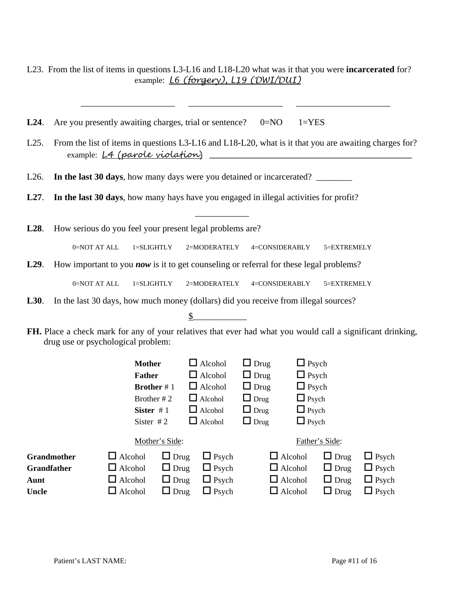|                   | L23. From the list of items in questions L3-L16 and L18-L20 what was it that you were <b>incarcerated</b> for? |                |                   |                | example: <i>L6 (forgery)</i> , <i>L19 (DWI/DUI)</i>                                           |                |             |                                                                                                            |
|-------------------|----------------------------------------------------------------------------------------------------------------|----------------|-------------------|----------------|-----------------------------------------------------------------------------------------------|----------------|-------------|------------------------------------------------------------------------------------------------------------|
| L24.              | Are you presently awaiting charges, trial or sentence?                                                         |                |                   |                | $0 = NO$                                                                                      | $1 = YES$      |             |                                                                                                            |
| L25.              |                                                                                                                |                |                   |                | example: L4 (parole violation)                                                                |                |             | From the list of items in questions L3-L16 and L18-L20, what is it that you are awaiting charges for?      |
| L26.              |                                                                                                                |                |                   |                | In the last 30 days, how many days were you detained or incarcerated?                         |                |             |                                                                                                            |
| L27.              |                                                                                                                |                |                   |                | In the last 30 days, how many hays have you engaged in illegal activities for profit?         |                |             |                                                                                                            |
| L28.              | How serious do you feel your present legal problems are?                                                       |                |                   |                |                                                                                               |                |             |                                                                                                            |
|                   | 0=NOT AT ALL                                                                                                   | 1=SLIGHTLY     |                   | 2=MODERATELY   | 4=CONSIDERABLY                                                                                |                | 5=EXTREMELY |                                                                                                            |
| L <sub>29</sub> . |                                                                                                                |                |                   |                | How important to you <i>now</i> is it to get counseling or referral for these legal problems? |                |             |                                                                                                            |
|                   |                                                                                                                |                |                   |                |                                                                                               |                |             |                                                                                                            |
|                   | 0=NOT AT ALL                                                                                                   | 1=SLIGHTLY     |                   | 2=MODERATELY   | 4=CONSIDERABLY                                                                                |                | 5=EXTREMELY |                                                                                                            |
| L30.              |                                                                                                                |                |                   |                | In the last 30 days, how much money (dollars) did you receive from illegal sources?           |                |             |                                                                                                            |
|                   |                                                                                                                |                |                   |                |                                                                                               |                |             |                                                                                                            |
|                   | drug use or psychological problem:                                                                             |                |                   |                |                                                                                               |                |             | FH. Place a check mark for any of your relatives that ever had what you would call a significant drinking, |
|                   |                                                                                                                | <b>Mother</b>  |                   | $\Box$ Alcohol | $\Box$ Drug                                                                                   | $\Box$ Psych   |             |                                                                                                            |
|                   |                                                                                                                | <b>Father</b>  |                   | $\Box$ Alcohol | $\Box$ Drug                                                                                   | $\Box$ Psych   |             |                                                                                                            |
|                   |                                                                                                                |                | <b>Brother</b> #1 | $\Box$ Alcohol | $\Box$ Drug                                                                                   | $\Box$ Psych   |             |                                                                                                            |
|                   |                                                                                                                |                | Brother #2        | $\Box$ Alcohol | $\Box$ Drug                                                                                   | $\Box$ Psych   |             |                                                                                                            |
|                   |                                                                                                                | Sister $#1$    |                   | $\Box$ Alcohol | $\Box$ Drug                                                                                   | $\Box$ Psych   |             |                                                                                                            |
|                   |                                                                                                                | Sister $#2$    |                   | $\Box$ Alcohol | $\Box$ Drug                                                                                   | $\Box$ Psych   |             |                                                                                                            |
|                   |                                                                                                                |                | Mother's Side:    |                |                                                                                               | Father's Side: |             |                                                                                                            |
|                   | Grandmother                                                                                                    | $\Box$ Alcohol | $\Box$ Drug       | $\Box$ Psych   | $\Box$ Alcohol                                                                                |                | $\Box$ Drug | $\Box$ Psych                                                                                               |
|                   | <b>Grandfather</b>                                                                                             | $\Box$ Alcohol | $\Box$ Drug       | $\Box$ Psych   | $\Box$ Alcohol                                                                                |                | $\Box$ Drug | $\Box$ Psych                                                                                               |
| Aunt              |                                                                                                                | $\Box$ Alcohol | $\Box$ Drug       | $\Box$ Psych   | $\Box$ Alcohol                                                                                |                | $\Box$ Drug | $\Box$ Psych                                                                                               |

**Uncle** Alcohol Drug Psych Alcohol Drug Psych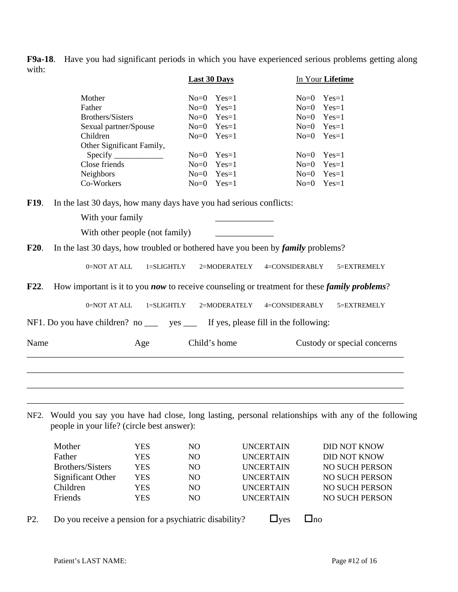**F9a-18**. Have you had significant periods in which you have experienced serious problems getting along with:

|             |                                                                                     |                                                                            | <b>Last 30 Days</b> |                |                  | In Your Lifetime                                                                                            |
|-------------|-------------------------------------------------------------------------------------|----------------------------------------------------------------------------|---------------------|----------------|------------------|-------------------------------------------------------------------------------------------------------------|
|             | Mother                                                                              |                                                                            |                     | $No=0$ $Yes=1$ | $No = 0$         | $Yes=1$                                                                                                     |
|             | Father                                                                              |                                                                            |                     | $No=0$ $Yes=1$ |                  | $No=0$ $Yes=1$                                                                                              |
|             | <b>Brothers/Sisters</b>                                                             |                                                                            |                     | $No=0$ $Yes=1$ |                  | $No=0$ $Yes=1$                                                                                              |
|             | Sexual partner/Spouse                                                               |                                                                            |                     | $No=0$ $Yes=1$ |                  | $No=0$ $Yes=1$                                                                                              |
|             | Children                                                                            |                                                                            |                     | $No=0$ $Yes=1$ |                  | $No=0$ $Yes=1$                                                                                              |
|             |                                                                                     | Other Significant Family,                                                  |                     |                |                  |                                                                                                             |
|             |                                                                                     | Specify                                                                    |                     | $No=0$ $Yes=1$ |                  | $No=0$ $Yes=1$                                                                                              |
|             | Close friends                                                                       |                                                                            | $No = 0$            | $Yes=1$        |                  | $No=0$ $Yes=1$                                                                                              |
|             | Neighbors                                                                           |                                                                            |                     | $No=0$ $Yes=1$ |                  | $No=0$ $Yes=1$                                                                                              |
|             | Co-Workers                                                                          |                                                                            |                     | $No=0$ $Yes=1$ |                  | $No=0$ $Yes=1$                                                                                              |
| F19.        | In the last 30 days, how many days have you had serious conflicts:                  |                                                                            |                     |                |                  |                                                                                                             |
|             | With your family                                                                    |                                                                            |                     |                |                  |                                                                                                             |
|             |                                                                                     | With other people (not family)                                             |                     |                |                  |                                                                                                             |
|             |                                                                                     |                                                                            |                     |                |                  |                                                                                                             |
| <b>F20.</b> | In the last 30 days, how troubled or bothered have you been by family problems?     |                                                                            |                     |                |                  |                                                                                                             |
|             | 0=NOT AT ALL                                                                        | $1 = SLIGHTLY$                                                             |                     | 2=MODERATELY   | 4=CONSIDERABLY   | 5=EXTREMELY                                                                                                 |
| F22.        |                                                                                     |                                                                            |                     |                |                  | How important is it to you <i>now</i> to receive counseling or treatment for these <i>family problems</i> ? |
|             | 0=NOT AT ALL                                                                        | 1=SLIGHTLY                                                                 |                     | 2=MODERATELY   | 4=CONSIDERABLY   | 5=EXTREMELY                                                                                                 |
|             | NF1. Do you have children? no _____ yes _____ If yes, please fill in the following: |                                                                            |                     |                |                  |                                                                                                             |
| Name        |                                                                                     | Age                                                                        |                     | Child's home   |                  | Custody or special concerns                                                                                 |
|             |                                                                                     |                                                                            |                     |                |                  |                                                                                                             |
|             | people in your life? (circle best answer):                                          |                                                                            |                     |                |                  | NF2. Would you say you have had close, long lasting, personal relationships with any of the following       |
|             |                                                                                     |                                                                            |                     |                |                  |                                                                                                             |
|             | Mother                                                                              | <b>YES</b>                                                                 | N <sub>O</sub>      |                | <b>UNCERTAIN</b> | <b>DID NOT KNOW</b>                                                                                         |
|             | Father                                                                              | <b>YES</b>                                                                 | NO                  |                | <b>UNCERTAIN</b> | <b>DID NOT KNOW</b>                                                                                         |
|             | $\mathbf{D}$ $\mathbf{A}$ $\mathbf{C}$                                              | $\overline{r}$ $\overline{r}$ $\overline{r}$ $\overline{r}$ $\overline{r}$ | $\overline{1}$      |                | $\cdots$         | $\cdots$ $\alpha$ $\cdots$ $\alpha$                                                                         |

| Mother            | YES | NO. | <b>UNCERTAIN</b> | DID NOT KNOW          |
|-------------------|-----|-----|------------------|-----------------------|
| Father            | YES | NO. | <b>UNCERTAIN</b> | <b>DID NOT KNOW</b>   |
| Brothers/Sisters  | YES | NO. | <b>UNCERTAIN</b> | <b>NO SUCH PERSON</b> |
| Significant Other | YES | NO. | <b>UNCERTAIN</b> | <b>NO SUCH PERSON</b> |
| Children          | YES | NO. | <b>UNCERTAIN</b> | NO SUCH PERSON        |
| <b>Friends</b>    | YES | NO. | <b>UNCERTAIN</b> | NO SUCH PERSON        |
|                   |     |     |                  |                       |

P2. Do you receive a pension for a psychiatric disability?  $\Box$  yes  $\Box$  no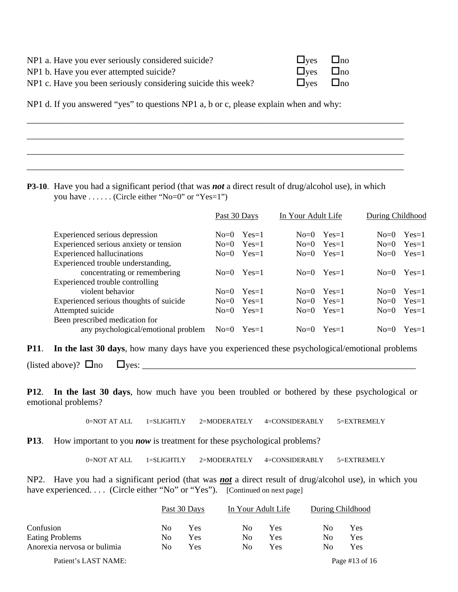| NP1 a. Have you ever seriously considered suicide?            | $\Box$ yes $\Box$ no |  |
|---------------------------------------------------------------|----------------------|--|
| NP1 b. Have you ever attempted suicide?                       | $\Box$ ves $\Box$ no |  |
| NP1 c. Have you been seriously considering suicide this week? | $\Box$ ves $\Box$ no |  |

NP1 d. If you answered "yes" to questions NP1 a, b or c, please explain when and why:

**P3-10**. Have you had a significant period (that was *not* a direct result of drug/alcohol use), in which you have . . . . . . (Circle either "No=0" or "Yes=1")

\_\_\_\_\_\_\_\_\_\_\_\_\_\_\_\_\_\_\_\_\_\_\_\_\_\_\_\_\_\_\_\_\_\_\_\_\_\_\_\_\_\_\_\_\_\_\_\_\_\_\_\_\_\_\_\_\_\_\_\_\_\_\_\_\_\_\_\_\_\_\_\_\_\_\_\_\_\_\_\_\_\_\_\_

\_\_\_\_\_\_\_\_\_\_\_\_\_\_\_\_\_\_\_\_\_\_\_\_\_\_\_\_\_\_\_\_\_\_\_\_\_\_\_\_\_\_\_\_\_\_\_\_\_\_\_\_\_\_\_\_\_\_\_\_\_\_\_\_\_\_\_\_\_\_\_\_\_\_\_\_\_\_\_\_\_\_\_\_

\_\_\_\_\_\_\_\_\_\_\_\_\_\_\_\_\_\_\_\_\_\_\_\_\_\_\_\_\_\_\_\_\_\_\_\_\_\_\_\_\_\_\_\_\_\_\_\_\_\_\_\_\_\_\_\_\_\_\_\_\_\_\_\_\_\_\_\_\_\_\_\_\_\_\_\_\_\_\_\_\_\_\_\_

\_\_\_\_\_\_\_\_\_\_\_\_\_\_\_\_\_\_\_\_\_\_\_\_\_\_\_\_\_\_\_\_\_\_\_\_\_\_\_\_\_\_\_\_\_\_\_\_\_\_\_\_\_\_\_\_\_\_\_\_\_\_\_\_\_\_\_\_\_\_\_\_\_\_\_\_\_\_\_\_\_\_\_\_

|                                         | Past 30 Days |                | In Your Adult Life |                | During Childhood |         |
|-----------------------------------------|--------------|----------------|--------------------|----------------|------------------|---------|
| Experienced serious depression          | $No=0$       | $Yes=1$        | $No=0$             | $Yes=1$        | $No=0$           | $Yes=1$ |
| Experienced serious anxiety or tension  | $No = 0$     | $Yes=1$        | $No=0$             | $Yes=1$        | $No = 0$         | $Yes=1$ |
| <b>Experienced hallucinations</b>       |              | $No=0$ $Yes=1$ |                    | $No=0$ $Yes=1$ | $No = 0$         | $Yes=1$ |
| Experienced trouble understanding,      |              |                |                    |                |                  |         |
| concentrating or remembering            | $No = 0$     | $Yes=1$        | $No=0$             | $Yes=1$        | $No=0$           | $Yes=1$ |
| Experienced trouble controlling         |              |                |                    |                |                  |         |
| violent behavior                        | $No=0$       | $Yes=1$        | $No = 0$           | $Yes=1$        | $No=0$           | $Yes=1$ |
| Experienced serious thoughts of suicide | $No = 0$     | $Yes=1$        | $No = 0$           | $Yes=1$        | $No = 0$         | $Yes=1$ |
| Attempted suicide                       | $No = 0$     | $Yes=1$        | $No=0$             | $Yes=1$        | $No=0$           | $Yes=1$ |
| Been prescribed medication for          |              |                |                    |                |                  |         |
| any psychological/emotional problem     | $No = 0$     | $Yes=1$        | $No=0$             | $Yes=1$        | $No=0$           | $Yes=1$ |

**P11**. **In the last 30 days**, how many days have you experienced these psychological/emotional problems

 $(i,\text{isted above})$ ?  $\Box$ no  $\Box$ yes:  $\Box$ 

**P12**. **In the last 30 days**, how much have you been troubled or bothered by these psychological or emotional problems?

0=NOT AT ALL 1=SLIGHTLY 2=MODERATELY 4=CONSIDERABLY 5=EXTREMELY

**P13**. How important to you *now* is treatment for these psychological problems?

0=NOT AT ALL 1=SLIGHTLY 2=MODERATELY 4=CONSIDERABLY 5=EXTREMELY

NP2. Have you had a significant period (that was *not* a direct result of drug/alcohol use), in which you have experienced. . . . (Circle either "No" or "Yes"). [Continued on next page]

|                             | Past 30 Days |     | In Your Adult Life |     | During Childhood |            |
|-----------------------------|--------------|-----|--------------------|-----|------------------|------------|
| Confusion                   | No           | Yes | No                 | Yes | No               | Yes        |
| <b>Eating Problems</b>      | No           | Yes | No                 | Yes | No               | <b>Yes</b> |
| Anorexia nervosa or bulimia | No           | Yes | No                 | Yes | No               | Yes        |

Patient's LAST NAME: Page #13 of 16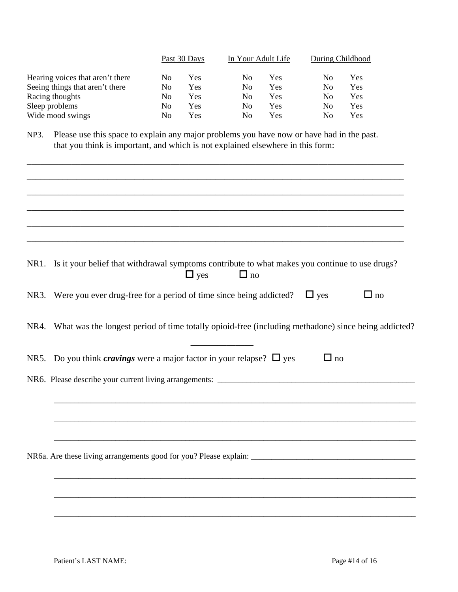|                                  | Past 30 Days |     | In Your Adult Life |     | During Childhood |     |
|----------------------------------|--------------|-----|--------------------|-----|------------------|-----|
| Hearing voices that aren't there | No           | Yes | No                 | Yes | No               | Yes |
| Seeing things that aren't there  | No           | Yes | No.                | Yes | No               | Yes |
| Racing thoughts                  | No           | Yes | No.                | Yes | No               | Yes |
| Sleep problems                   | No           | Yes | No                 | Yes | No               | Yes |
| Wide mood swings                 | No           | Yes | No                 | Yes | No               | Yes |

NP3. Please use this space to explain any major problems you have now or have had in the past. that you think is important, and which is not explained elsewhere in this form:

| NR1. Is it your belief that withdrawal symptoms contribute to what makes you continue to use drugs?<br>$\Box$ yes<br>$\Box$ no |
|--------------------------------------------------------------------------------------------------------------------------------|
| NR3. Were you ever drug-free for a period of time since being addicted? $\Box$ yes<br>$\Box$ no                                |
| NR4. What was the longest period of time totally opioid-free (including methadone) since being addicted?                       |
| NR5. Do you think <i>cravings</i> were a major factor in your relapse? $\Box$ yes<br>$\Box$ no                                 |
|                                                                                                                                |
|                                                                                                                                |
|                                                                                                                                |
|                                                                                                                                |
|                                                                                                                                |
|                                                                                                                                |
|                                                                                                                                |
|                                                                                                                                |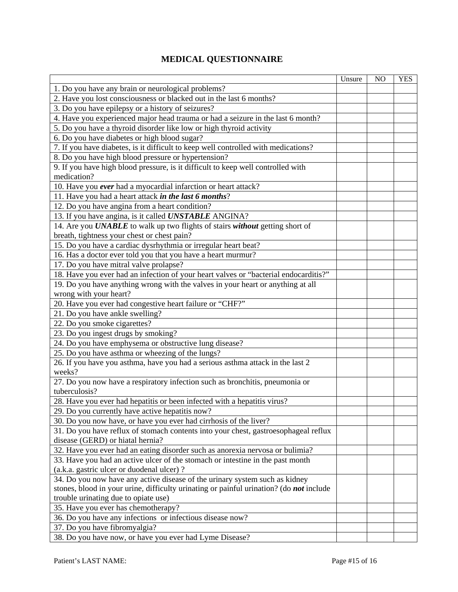## **MEDICAL QUESTIONNAIRE**

|                                                                                          | Unsure | NO. | <b>YES</b> |
|------------------------------------------------------------------------------------------|--------|-----|------------|
| 1. Do you have any brain or neurological problems?                                       |        |     |            |
| 2. Have you lost consciousness or blacked out in the last 6 months?                      |        |     |            |
| 3. Do you have epilepsy or a history of seizures?                                        |        |     |            |
| 4. Have you experienced major head trauma or had a seizure in the last 6 month?          |        |     |            |
| 5. Do you have a thyroid disorder like low or high thyroid activity                      |        |     |            |
| 6. Do you have diabetes or high blood sugar?                                             |        |     |            |
| 7. If you have diabetes, is it difficult to keep well controlled with medications?       |        |     |            |
| 8. Do you have high blood pressure or hypertension?                                      |        |     |            |
| 9. If you have high blood pressure, is it difficult to keep well controlled with         |        |     |            |
| medication?                                                                              |        |     |            |
| 10. Have you ever had a myocardial infarction or heart attack?                           |        |     |            |
| 11. Have you had a heart attack in the last 6 months?                                    |        |     |            |
| 12. Do you have angina from a heart condition?                                           |        |     |            |
| 13. If you have angina, is it called <b>UNSTABLE</b> ANGINA?                             |        |     |            |
| 14. Are you UNABLE to walk up two flights of stairs without getting short of             |        |     |            |
| breath, tightness your chest or chest pain?                                              |        |     |            |
| 15. Do you have a cardiac dysrhythmia or irregular heart beat?                           |        |     |            |
| 16. Has a doctor ever told you that you have a heart murmur?                             |        |     |            |
| 17. Do you have mitral valve prolapse?                                                   |        |     |            |
| 18. Have you ever had an infection of your heart valves or "bacterial endocarditis?"     |        |     |            |
| 19. Do you have anything wrong with the valves in your heart or anything at all          |        |     |            |
| wrong with your heart?                                                                   |        |     |            |
| 20. Have you ever had congestive heart failure or "CHF?"                                 |        |     |            |
| 21. Do you have ankle swelling?                                                          |        |     |            |
|                                                                                          |        |     |            |
| 22. Do you smoke cigarettes?                                                             |        |     |            |
| 23. Do you ingest drugs by smoking?                                                      |        |     |            |
| 24. Do you have emphysema or obstructive lung disease?                                   |        |     |            |
| 25. Do you have asthma or wheezing of the lungs?                                         |        |     |            |
| 26. If you have you asthma, have you had a serious asthma attack in the last 2<br>weeks? |        |     |            |
| 27. Do you now have a respiratory infection such as bronchitis, pneumonia or             |        |     |            |
| tuberculosis?                                                                            |        |     |            |
| 28. Have you ever had hepatitis or been infected with a hepatitis virus?                 |        |     |            |
| 29. Do you currently have active hepatitis now?                                          |        |     |            |
| 30. Do you now have, or have you ever had cirrhosis of the liver?                        |        |     |            |
| 31. Do you have reflux of stomach contents into your chest, gastroesophageal reflux      |        |     |            |
| disease (GERD) or hiatal hernia?                                                         |        |     |            |
| 32. Have you ever had an eating disorder such as anorexia nervosa or bulimia?            |        |     |            |
| 33. Have you had an active ulcer of the stomach or intestine in the past month           |        |     |            |
| (a.k.a. gastric ulcer or duodenal ulcer)?                                                |        |     |            |
| 34. Do you now have any active disease of the urinary system such as kidney              |        |     |            |
| stones, blood in your urine, difficulty urinating or painful urination? (do not include  |        |     |            |
| trouble urinating due to opiate use)                                                     |        |     |            |
| 35. Have you ever has chemotherapy?                                                      |        |     |            |
| 36. Do you have any infections or infectious disease now?                                |        |     |            |
| 37. Do you have fibromyalgia?                                                            |        |     |            |
| 38. Do you have now, or have you ever had Lyme Disease?                                  |        |     |            |